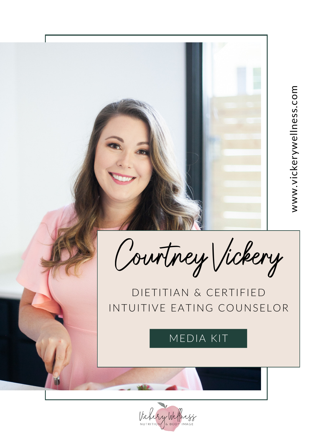Courtney Vickery

# DIETITIAN & CERTIFIED INTUITIVE EATING COUNSELOR

MEDIA KIT

Victory Wellings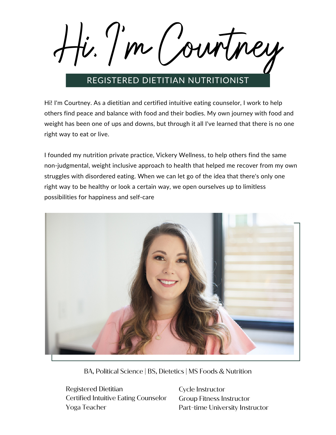Hi, I' m Courtney

## REGISTERED DIETITIAN NUTRITIONIST

Hi! I'm Courtney. As a dietitian and certified intuitive eating counselor, I work to help others find peace and balance with food and their bodies. My own journey with food and weight has been one of ups and downs, but through it all I've learned that there is no one right way to eat or live.

I founded my nutrition private practice, Vickery Wellness, to help others find the same non-judgmental, weight inclusive approach to health that helped me recover from my own struggles with disordered eating. When we can let go of the idea that there's only one right way to be healthy or look a certain way, we open ourselves up to limitless possibilities for happiness and self-care



BA, Political Science | BS, Dietetics | MS Foods & Nutrition

Registered Dietitian Certified Intuitive Eating Counselor Yoga Teacher

Cycle Instructor Group Fitness Instructor Part-time University Instructor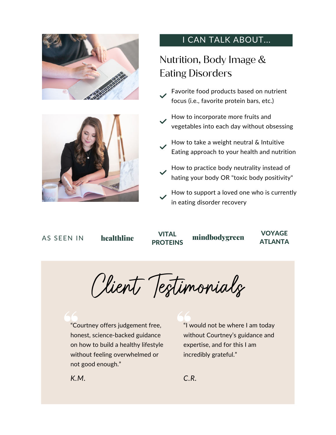



## I CAN TALK ABOUT...

## Nutrition, Body Image & Eating Disorders

- Favorite food products based on nutrient focus (i.e., favorite protein bars, etc.)
- How to incorporate more fruits and vegetables into each day without obsessing
- How to take a weight neutral & Intuitive Eating approach to your health and nutrition
- How to practice body neutrality instead of hating your body OR "toxic body positivity"
- How to support a loved one who is currently in eating disorder recovery

#### AS SEEN IN

VITAL **PROTEINS** 

healthline vital mindbodygreen

VOYAGE ATLANTA

Client Testimonials

"Courtney offers judgement free, honest, science-backed guidance on how to build a healthy lifestyle without feeling overwhelmed or not good enough."

"I would not be where I am today without Courtney's guidance and expertise, and for this I am incredibly grateful."

*K.M. C.R.*